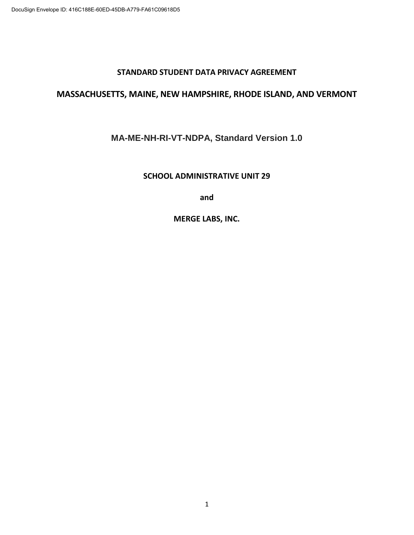#### **STANDARD STUDENT DATA PRIVACY AGREEMENT**

## **MASSACHUSETTS, MAINE, NEW HAMPSHIRE, RHODE ISLAND, AND VERMONT**

## **MA-ME-NH-RI-VT-NDPA, Standard Version 1.0**

#### **SCHOOL ADMINISTRATIVE UNIT 29**

**and** 

**MERGE LABS, INC.**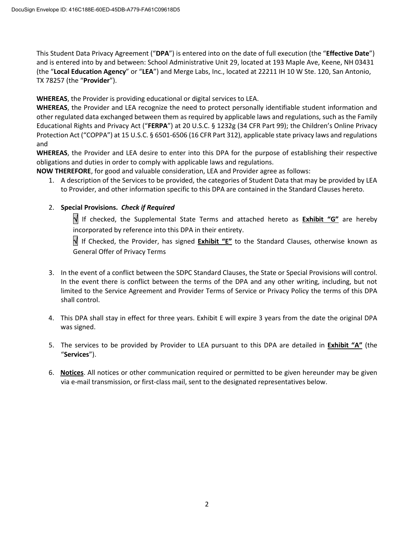This Student Data Privacy Agreement ("**DPA**") is entered into on the date of full execution (the "**Effective Date**") and is entered into by and between: School Administrative Unit 29, located at 193 Maple Ave, Keene, NH 03431 (the "**Local Education Agency**" or "**LEA**") and Merge Labs, Inc., located at 22211 IH 10 W Ste. 120, San Antonio, TX 78257 (the "**Provider**").

**WHEREAS**, the Provider is providing educational or digital services to LEA.

**WHEREAS**, the Provider and LEA recognize the need to protect personally identifiable student information and other regulated data exchanged between them as required by applicable laws and regulations, such as the Family Educational Rights and Privacy Act ("**FERPA**") at 20 U.S.C. § 1232g (34 CFR Part 99); the Children's Online Privacy Protection Act ("COPPA") at 15 U.S.C. § 6501-6506 (16 CFR Part 312), applicable state privacy laws and regulations and

**WHEREAS**, the Provider and LEA desire to enter into this DPA for the purpose of establishing their respective obligations and duties in order to comply with applicable laws and regulations.

**NOW THEREFORE**, for good and valuable consideration, LEA and Provider agree as follows:

1. A description of the Services to be provided, the categories of Student Data that may be provided by LEA to Provider, and other information specific to this DPA are contained in the Standard Clauses hereto.

#### 2. **Special Provisions.** *Check if Required*

If checked, the Supplemental State Terms and attached hereto as **Exhibit "G"** are hereby incorporated by reference into this DPA in their entirety.

 If Checked, the Provider, has signed **Exhibit "E"** to the Standard Clauses, otherwise known as General Offer of Privacy Terms

- 3. In the event of a conflict between the SDPC Standard Clauses, the State or Special Provisions will control. In the event there is conflict between the terms of the DPA and any other writing, including, but not limited to the Service Agreement and Provider Terms of Service or Privacy Policy the terms of this DPA shall control.
- 4. This DPA shall stay in effect for three years. Exhibit E will expire 3 years from the date the original DPA was signed.
- 5. The services to be provided by Provider to LEA pursuant to this DPA are detailed in **Exhibit "A"** (the "**Services**").
- 6. **Notices**. All notices or other communication required or permitted to be given hereunder may be given via e-mail transmission, or first-class mail, sent to the designated representatives below.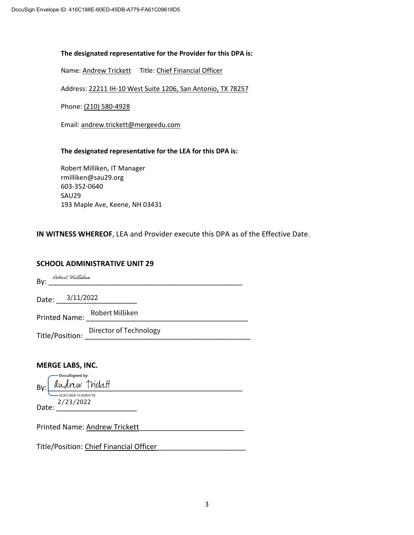#### **The designated representative for the Provider for this DPA is:**

Name: Andrew Trickett Title: Chief Financial Officer

Address: 22211 IH-10 West Suite 1206, San Antonio, TX 78257

Phone: (210) 580-4928

Email: andrew.trickett@mergeedu.com

#### **The designated representative for the LEA for this DPA is:**

Robert Milliken, IT Manager rmilliken@sau29.org 603-352-0640 SAU29 193 Maple Ave, Keene, NH 03431

**IN WITNESS WHEREOF**, LEA and Provider execute this DPA as of the Effective Date.

#### **SCHOOL ADMINISTRATIVE UNIT 29**

| Robert Milliken         |                                                                  |  |
|-------------------------|------------------------------------------------------------------|--|
| Date: 3/11/2022         |                                                                  |  |
|                         | Printed Name: Robert Milliken                                    |  |
|                         | Director of Technology<br>Title/Position: Director of Technology |  |
|                         |                                                                  |  |
| <b>MERGE LABS, INC.</b> |                                                                  |  |

-DocuSigned by:  $\text{By:}\n \underbrace{\text{Indrew} \text{Trickult}}_{\text{ADFE0B0F1DA60418...}}$ 

Date: 2/23/2022

Printed Name: **Andrew Trickett** 

Title/Position: Chief Financial Officer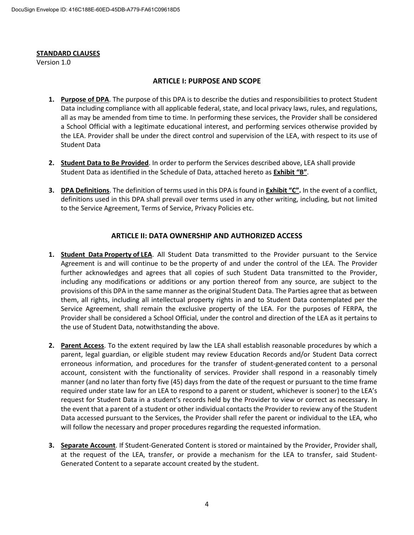#### **STANDARD CLAUSES**

Version 1.0

#### **ARTICLE I: PURPOSE AND SCOPE**

- **1. Purpose of DPA**. The purpose of this DPA is to describe the duties and responsibilities to protect Student Data including compliance with all applicable federal, state, and local privacy laws, rules, and regulations, all as may be amended from time to time. In performing these services, the Provider shall be considered a School Official with a legitimate educational interest, and performing services otherwise provided by the LEA. Provider shall be under the direct control and supervision of the LEA, with respect to its use of Student Data
- **2. Student Data to Be Provided**. In order to perform the Services described above, LEA shall provide Student Data as identified in the Schedule of Data, attached hereto as **Exhibit "B"**.
- **3. DPA Definitions**. The definition of terms used in this DPA is found in **Exhibit "C".** In the event of a conflict, definitions used in this DPA shall prevail over terms used in any other writing, including, but not limited to the Service Agreement, Terms of Service, Privacy Policies etc.

#### **ARTICLE II: DATA OWNERSHIP AND AUTHORIZED ACCESS**

- **1. Student Data Property of LEA**. All Student Data transmitted to the Provider pursuant to the Service Agreement is and will continue to be the property of and under the control of the LEA. The Provider further acknowledges and agrees that all copies of such Student Data transmitted to the Provider, including any modifications or additions or any portion thereof from any source, are subject to the provisions of this DPA in the same manner as the original Student Data. The Parties agree that as between them, all rights, including all intellectual property rights in and to Student Data contemplated per the Service Agreement, shall remain the exclusive property of the LEA. For the purposes of FERPA, the Provider shall be considered a School Official, under the control and direction of the LEA as it pertains to the use of Student Data, notwithstanding the above.
- **2. Parent Access**. To the extent required by law the LEA shall establish reasonable procedures by which a parent, legal guardian, or eligible student may review Education Records and/or Student Data correct erroneous information, and procedures for the transfer of student-generated content to a personal account, consistent with the functionality of services. Provider shall respond in a reasonably timely manner (and no later than forty five (45) days from the date of the request or pursuant to the time frame required under state law for an LEA to respond to a parent or student, whichever is sooner) to the LEA's request for Student Data in a student's records held by the Provider to view or correct as necessary. In the event that a parent of a student or other individual contacts the Provider to review any of the Student Data accessed pursuant to the Services, the Provider shall refer the parent or individual to the LEA, who will follow the necessary and proper procedures regarding the requested information.
- **3. Separate Account**. If Student-Generated Content is stored or maintained by the Provider, Provider shall, at the request of the LEA, transfer, or provide a mechanism for the LEA to transfer, said Student-Generated Content to a separate account created by the student.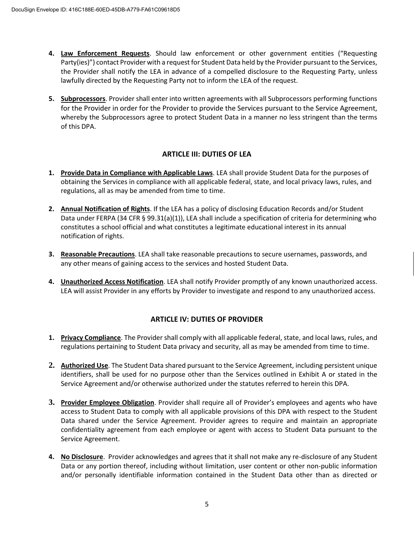- **4. Law Enforcement Requests**. Should law enforcement or other government entities ("Requesting Party(ies)") contact Provider with a request for Student Data held by the Provider pursuant to the Services, the Provider shall notify the LEA in advance of a compelled disclosure to the Requesting Party, unless lawfully directed by the Requesting Party not to inform the LEA of the request.
- **5. Subprocessors**. Provider shall enter into written agreements with all Subprocessors performing functions for the Provider in order for the Provider to provide the Services pursuant to the Service Agreement, whereby the Subprocessors agree to protect Student Data in a manner no less stringent than the terms of this DPA.

#### **ARTICLE III: DUTIES OF LEA**

- **1. Provide Data in Compliance with Applicable Laws**. LEA shall provide Student Data for the purposes of obtaining the Services in compliance with all applicable federal, state, and local privacy laws, rules, and regulations, all as may be amended from time to time.
- **2. Annual Notification of Rights**. If the LEA has a policy of disclosing Education Records and/or Student Data under FERPA (34 CFR § 99.31(a)(1)), LEA shall include a specification of criteria for determining who constitutes a school official and what constitutes a legitimate educational interest in its annual notification of rights.
- **3. Reasonable Precautions**. LEA shall take reasonable precautions to secure usernames, passwords, and any other means of gaining access to the services and hosted Student Data.
- **4. Unauthorized Access Notification**. LEA shall notify Provider promptly of any known unauthorized access. LEA will assist Provider in any efforts by Provider to investigate and respond to any unauthorized access.

#### **ARTICLE IV: DUTIES OF PROVIDER**

- **1. Privacy Compliance**. The Provider shall comply with all applicable federal, state, and local laws, rules, and regulations pertaining to Student Data privacy and security, all as may be amended from time to time.
- **2. Authorized Use**. The Student Data shared pursuant to the Service Agreement, including persistent unique identifiers, shall be used for no purpose other than the Services outlined in Exhibit A or stated in the Service Agreement and/or otherwise authorized under the statutes referred to herein this DPA.
- **3. Provider Employee Obligation**. Provider shall require all of Provider's employees and agents who have access to Student Data to comply with all applicable provisions of this DPA with respect to the Student Data shared under the Service Agreement. Provider agrees to require and maintain an appropriate confidentiality agreement from each employee or agent with access to Student Data pursuant to the Service Agreement.
- **4. No Disclosure**. Provider acknowledges and agrees that it shall not make any re-disclosure of any Student Data or any portion thereof, including without limitation, user content or other non-public information and/or personally identifiable information contained in the Student Data other than as directed or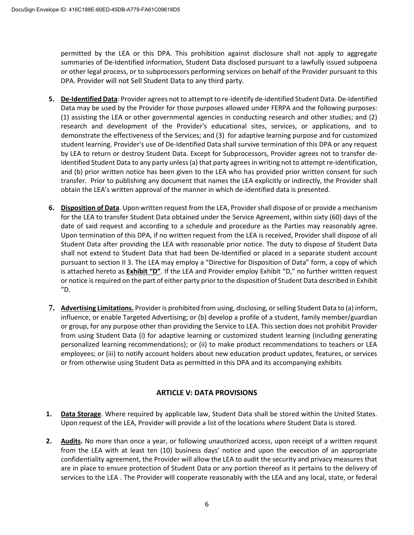permitted by the LEA or this DPA. This prohibition against disclosure shall not apply to aggregate summaries of De-Identified information, Student Data disclosed pursuant to a lawfully issued subpoena or other legal process, or to subprocessors performing services on behalf of the Provider pursuant to this DPA. Provider will not Sell Student Data to any third party.

- **5. De-Identified Data**: Provider agrees not to attempt to re-identify de-identified Student Data. De-Identified Data may be used by the Provider for those purposes allowed under FERPA and the following purposes: (1) assisting the LEA or other governmental agencies in conducting research and other studies; and (2) research and development of the Provider's educational sites, services, or applications, and to demonstrate the effectiveness of the Services; and (3) for adaptive learning purpose and for customized student learning. Provider's use of De-Identified Data shall survive termination of this DPA or any request by LEA to return or destroy Student Data. Except for Subprocessors, Provider agrees not to transfer deidentified Student Data to any party unless (a) that party agrees in writing not to attempt re-identification, and (b) prior written notice has been given to the LEA who has provided prior written consent for such transfer. Prior to publishing any document that names the LEA explicitly or indirectly, the Provider shall obtain the LEA's written approval of the manner in which de-identified data is presented.
- **6. Disposition of Data**. Upon written request from the LEA, Provider shall dispose of or provide a mechanism for the LEA to transfer Student Data obtained under the Service Agreement, within sixty (60) days of the date of said request and according to a schedule and procedure as the Parties may reasonably agree. Upon termination of this DPA, if no written request from the LEA is received, Provider shall dispose of all Student Data after providing the LEA with reasonable prior notice. The duty to dispose of Student Data shall not extend to Student Data that had been De-Identified or placed in a separate student account pursuant to section II 3. The LEA may employ a "Directive for Disposition of Data" form, a copy of which is attached hereto as **Exhibit "D"**. If the LEA and Provider employ Exhibit "D," no further written request or notice is required on the part of either party prior to the disposition of Student Data described in Exhibit "D.
- **7. Advertising Limitations.** Provider is prohibited from using, disclosing, or selling Student Data to (a) inform, influence, or enable Targeted Advertising; or (b) develop a profile of a student, family member/guardian or group, for any purpose other than providing the Service to LEA. This section does not prohibit Provider from using Student Data (i) for adaptive learning or customized student learning (including generating personalized learning recommendations); or (ii) to make product recommendations to teachers or LEA employees; or (iii) to notify account holders about new education product updates, features, or services or from otherwise using Student Data as permitted in this DPA and its accompanying exhibits

#### **ARTICLE V: DATA PROVISIONS**

- **1. Data Storage**. Where required by applicable law, Student Data shall be stored within the United States. Upon request of the LEA, Provider will provide a list of the locations where Student Data is stored.
- **2. Audits.** No more than once a year, or following unauthorized access, upon receipt of a written request from the LEA with at least ten (10) business days' notice and upon the execution of an appropriate confidentiality agreement, the Provider will allow the LEA to audit the security and privacy measures that are in place to ensure protection of Student Data or any portion thereof as it pertains to the delivery of services to the LEA . The Provider will cooperate reasonably with the LEA and any local, state, or federal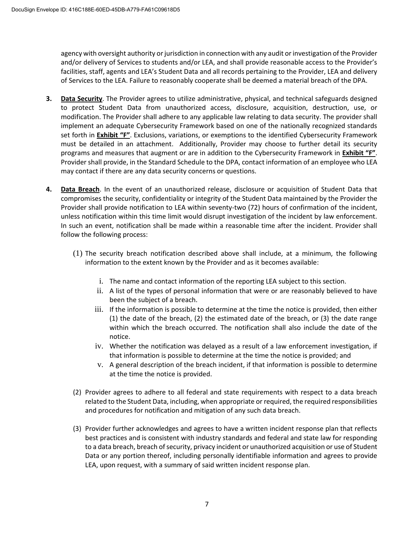agency with oversight authority or jurisdiction in connection with any audit or investigation of the Provider and/or delivery of Services to students and/or LEA, and shall provide reasonable access to the Provider's facilities, staff, agents and LEA's Student Data and all records pertaining to the Provider, LEA and delivery of Services to the LEA. Failure to reasonably cooperate shall be deemed a material breach of the DPA.

- **3. Data Security**. The Provider agrees to utilize administrative, physical, and technical safeguards designed to protect Student Data from unauthorized access, disclosure, acquisition, destruction, use, or modification. The Provider shall adhere to any applicable law relating to data security. The provider shall implement an adequate Cybersecurity Framework based on one of the nationally recognized standards set forth in **Exhibit "F"**. Exclusions, variations, or exemptions to the identified Cybersecurity Framework must be detailed in an attachment. Additionally, Provider may choose to further detail its security programs and measures that augment or are in addition to the Cybersecurity Framework in **Exhibit "F"**. Provider shall provide, in the Standard Schedule to the DPA, contact information of an employee who LEA may contact if there are any data security concerns or questions.
- **4. Data Breach**. In the event of an unauthorized release, disclosure or acquisition of Student Data that compromises the security, confidentiality or integrity of the Student Data maintained by the Provider the Provider shall provide notification to LEA within seventy-two (72) hours of confirmation of the incident, unless notification within this time limit would disrupt investigation of the incident by law enforcement. In such an event, notification shall be made within a reasonable time after the incident. Provider shall follow the following process:
	- (1) The security breach notification described above shall include, at a minimum, the following information to the extent known by the Provider and as it becomes available:
		- i. The name and contact information of the reporting LEA subject to this section.
		- ii. A list of the types of personal information that were or are reasonably believed to have been the subject of a breach.
		- iii. If the information is possible to determine at the time the notice is provided, then either (1) the date of the breach, (2) the estimated date of the breach, or (3) the date range within which the breach occurred. The notification shall also include the date of the notice.
		- iv. Whether the notification was delayed as a result of a law enforcement investigation, if that information is possible to determine at the time the notice is provided; and
		- v. A general description of the breach incident, if that information is possible to determine at the time the notice is provided.
	- (2) Provider agrees to adhere to all federal and state requirements with respect to a data breach related to the Student Data, including, when appropriate or required, the required responsibilities and procedures for notification and mitigation of any such data breach.
	- (3) Provider further acknowledges and agrees to have a written incident response plan that reflects best practices and is consistent with industry standards and federal and state law for responding to a data breach, breach of security, privacy incident or unauthorized acquisition or use of Student Data or any portion thereof, including personally identifiable information and agrees to provide LEA, upon request, with a summary of said written incident response plan.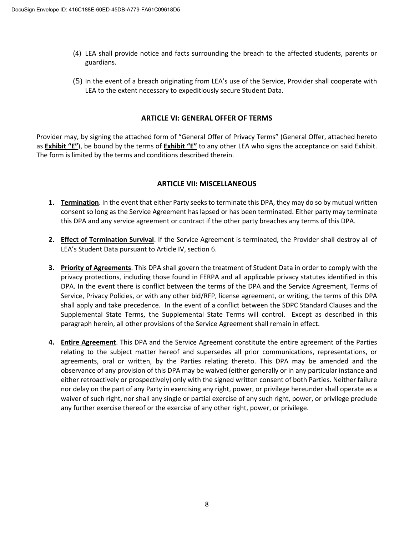- (4) LEA shall provide notice and facts surrounding the breach to the affected students, parents or guardians.
- (5) In the event of a breach originating from LEA's use of the Service, Provider shall cooperate with LEA to the extent necessary to expeditiously secure Student Data.

#### **ARTICLE VI: GENERAL OFFER OF TERMS**

Provider may, by signing the attached form of "General Offer of Privacy Terms" (General Offer, attached hereto as **Exhibit "E"**), be bound by the terms of **Exhibit "E"** to any other LEA who signs the acceptance on said Exhibit. The form is limited by the terms and conditions described therein.

#### **ARTICLE VII: MISCELLANEOUS**

- **1. Termination**. In the event that either Party seeks to terminate this DPA, they may do so by mutual written consent so long as the Service Agreement has lapsed or has been terminated. Either party may terminate this DPA and any service agreement or contract if the other party breaches any terms of this DPA.
- **2. Effect of Termination Survival**. If the Service Agreement is terminated, the Provider shall destroy all of LEA's Student Data pursuant to Article IV, section 6.
- **3. Priority of Agreements**. This DPA shall govern the treatment of Student Data in order to comply with the privacy protections, including those found in FERPA and all applicable privacy statutes identified in this DPA. In the event there is conflict between the terms of the DPA and the Service Agreement, Terms of Service, Privacy Policies, or with any other bid/RFP, license agreement, or writing, the terms of this DPA shall apply and take precedence. In the event of a conflict between the SDPC Standard Clauses and the Supplemental State Terms, the Supplemental State Terms will control. Except as described in this paragraph herein, all other provisions of the Service Agreement shall remain in effect.
- **4. Entire Agreement**. This DPA and the Service Agreement constitute the entire agreement of the Parties relating to the subject matter hereof and supersedes all prior communications, representations, or agreements, oral or written, by the Parties relating thereto. This DPA may be amended and the observance of any provision of this DPA may be waived (either generally or in any particular instance and either retroactively or prospectively) only with the signed written consent of both Parties. Neither failure nor delay on the part of any Party in exercising any right, power, or privilege hereunder shall operate as a waiver of such right, nor shall any single or partial exercise of any such right, power, or privilege preclude any further exercise thereof or the exercise of any other right, power, or privilege.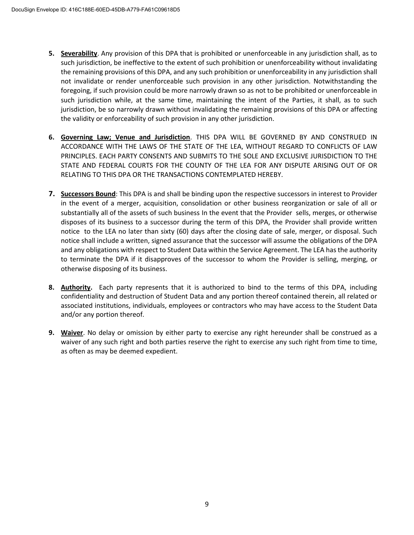- **5. Severability**. Any provision of this DPA that is prohibited or unenforceable in any jurisdiction shall, as to such jurisdiction, be ineffective to the extent of such prohibition or unenforceability without invalidating the remaining provisions of this DPA, and any such prohibition or unenforceability in any jurisdiction shall not invalidate or render unenforceable such provision in any other jurisdiction. Notwithstanding the foregoing, if such provision could be more narrowly drawn so as not to be prohibited or unenforceable in such jurisdiction while, at the same time, maintaining the intent of the Parties, it shall, as to such jurisdiction, be so narrowly drawn without invalidating the remaining provisions of this DPA or affecting the validity or enforceability of such provision in any other jurisdiction.
- **6. Governing Law; Venue and Jurisdiction**. THIS DPA WILL BE GOVERNED BY AND CONSTRUED IN ACCORDANCE WITH THE LAWS OF THE STATE OF THE LEA, WITHOUT REGARD TO CONFLICTS OF LAW PRINCIPLES. EACH PARTY CONSENTS AND SUBMITS TO THE SOLE AND EXCLUSIVE JURISDICTION TO THE STATE AND FEDERAL COURTS FOR THE COUNTY OF THE LEA FOR ANY DISPUTE ARISING OUT OF OR RELATING TO THIS DPA OR THE TRANSACTIONS CONTEMPLATED HEREBY.
- **7. Successors Bound**: This DPA is and shall be binding upon the respective successors in interest to Provider in the event of a merger, acquisition, consolidation or other business reorganization or sale of all or substantially all of the assets of such business In the event that the Provider sells, merges, or otherwise disposes of its business to a successor during the term of this DPA, the Provider shall provide written notice to the LEA no later than sixty (60) days after the closing date of sale, merger, or disposal. Such notice shall include a written, signed assurance that the successor will assume the obligations of the DPA and any obligations with respect to Student Data within the Service Agreement. The LEA has the authority to terminate the DPA if it disapproves of the successor to whom the Provider is selling, merging, or otherwise disposing of its business.
- **8. Authority.** Each party represents that it is authorized to bind to the terms of this DPA, including confidentiality and destruction of Student Data and any portion thereof contained therein, all related or associated institutions, individuals, employees or contractors who may have access to the Student Data and/or any portion thereof.
- **9. Waiver**. No delay or omission by either party to exercise any right hereunder shall be construed as a waiver of any such right and both parties reserve the right to exercise any such right from time to time, as often as may be deemed expedient.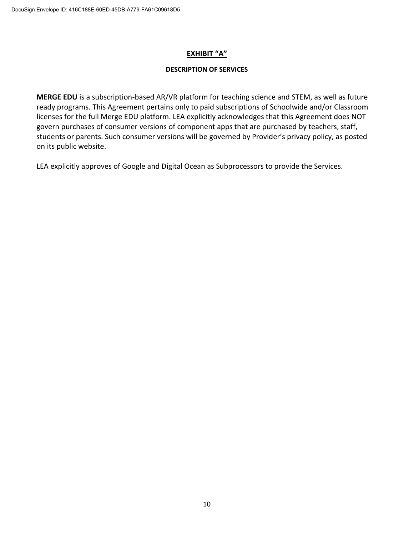#### **EXHIBIT "A"**

#### **DESCRIPTION OF SERVICES**

**MERGE EDU** is a subscription-based AR/VR platform for teaching science and STEM, as well as future ready programs. This Agreement pertains only to paid subscriptions of Schoolwide and/or Classroom licenses for the full Merge EDU platform. LEA explicitly acknowledges that this Agreement does NOT govern purchases of consumer versions of component apps that are purchased by teachers, staff, students or parents. Such consumer versions will be governed by Provider's privacy policy, as posted on its public website.

LEA explicitly approves of Google and Digital Ocean as Subprocessors to provide the Services.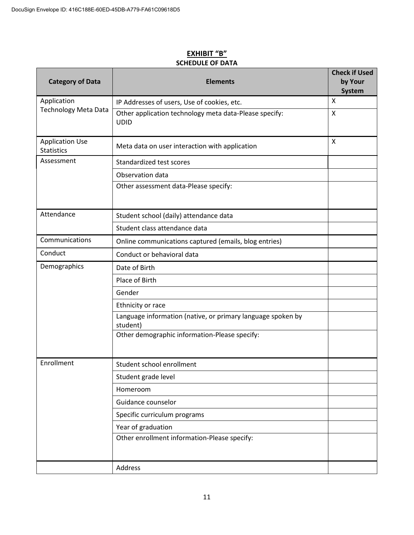| <b>Category of Data</b>                     | <b>Elements</b>                                                         | <b>Check if Used</b><br>by Your<br><b>System</b> |
|---------------------------------------------|-------------------------------------------------------------------------|--------------------------------------------------|
| Application                                 | IP Addresses of users, Use of cookies, etc.                             | X                                                |
| <b>Technology Meta Data</b>                 | Other application technology meta data-Please specify:<br><b>UDID</b>   | X                                                |
| <b>Application Use</b><br><b>Statistics</b> | Meta data on user interaction with application                          | X                                                |
| Assessment                                  | Standardized test scores                                                |                                                  |
|                                             | Observation data                                                        |                                                  |
|                                             | Other assessment data-Please specify:                                   |                                                  |
| Attendance                                  | Student school (daily) attendance data                                  |                                                  |
|                                             | Student class attendance data                                           |                                                  |
| Communications                              | Online communications captured (emails, blog entries)                   |                                                  |
| Conduct                                     | Conduct or behavioral data                                              |                                                  |
| Demographics                                | Date of Birth                                                           |                                                  |
|                                             | Place of Birth                                                          |                                                  |
|                                             | Gender                                                                  |                                                  |
|                                             | Ethnicity or race                                                       |                                                  |
|                                             | Language information (native, or primary language spoken by<br>student) |                                                  |
|                                             | Other demographic information-Please specify:                           |                                                  |
| Enrollment                                  | Student school enrollment                                               |                                                  |
|                                             | Student grade level                                                     |                                                  |
|                                             | Homeroom                                                                |                                                  |
|                                             | Guidance counselor                                                      |                                                  |
|                                             | Specific curriculum programs                                            |                                                  |
|                                             | Year of graduation                                                      |                                                  |
|                                             | Other enrollment information-Please specify:                            |                                                  |
|                                             | Address                                                                 |                                                  |

#### **EXHIBIT "B" SCHEDULE OF DATA**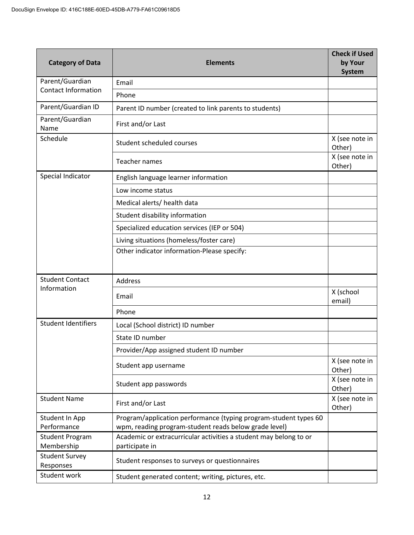| <b>Category of Data</b>                                                                                                                                    | <b>Elements</b>                                                                     |                          |
|------------------------------------------------------------------------------------------------------------------------------------------------------------|-------------------------------------------------------------------------------------|--------------------------|
| Parent/Guardian<br><b>Contact Information</b>                                                                                                              | Email                                                                               |                          |
|                                                                                                                                                            | Phone                                                                               |                          |
| Parent/Guardian ID                                                                                                                                         | Parent ID number (created to link parents to students)                              |                          |
| Parent/Guardian<br>Name                                                                                                                                    | First and/or Last                                                                   |                          |
| Schedule                                                                                                                                                   | Student scheduled courses                                                           | X (see note in<br>Other) |
|                                                                                                                                                            | Teacher names                                                                       | X (see note in<br>Other) |
| Special Indicator                                                                                                                                          | English language learner information                                                |                          |
|                                                                                                                                                            | Low income status                                                                   |                          |
|                                                                                                                                                            | Medical alerts/ health data                                                         |                          |
|                                                                                                                                                            | Student disability information                                                      |                          |
|                                                                                                                                                            | Specialized education services (IEP or 504)                                         |                          |
|                                                                                                                                                            | Living situations (homeless/foster care)                                            |                          |
|                                                                                                                                                            | Other indicator information-Please specify:                                         |                          |
| <b>Student Contact</b>                                                                                                                                     | Address                                                                             |                          |
| Information                                                                                                                                                | Email                                                                               | X (school<br>email)      |
|                                                                                                                                                            | Phone                                                                               |                          |
| <b>Student Identifiers</b>                                                                                                                                 | Local (School district) ID number                                                   |                          |
|                                                                                                                                                            | State ID number                                                                     |                          |
|                                                                                                                                                            | Provider/App assigned student ID number                                             |                          |
|                                                                                                                                                            | Student app username                                                                | X (see note in<br>Other) |
|                                                                                                                                                            | Student app passwords                                                               | X (see note in<br>Other) |
| <b>Student Name</b>                                                                                                                                        | First and/or Last                                                                   | X (see note in<br>Other) |
| Program/application performance (typing program-student types 60<br>Student In App<br>Performance<br>wpm, reading program-student reads below grade level) |                                                                                     |                          |
| <b>Student Program</b><br>Membership                                                                                                                       | Academic or extracurricular activities a student may belong to or<br>participate in |                          |
| <b>Student Survey</b><br>Responses                                                                                                                         | Student responses to surveys or questionnaires                                      |                          |
| Student work                                                                                                                                               | Student generated content; writing, pictures, etc.                                  |                          |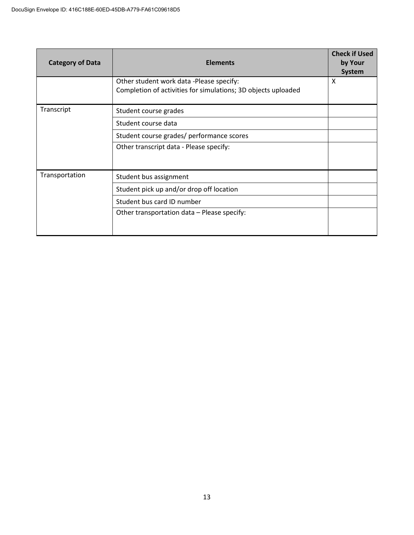| <b>Category of Data</b> | <b>Elements</b>                                                                                           |   |
|-------------------------|-----------------------------------------------------------------------------------------------------------|---|
|                         | Other student work data -Please specify:<br>Completion of activities for simulations; 3D objects uploaded | X |
| Transcript              | Student course grades                                                                                     |   |
|                         | Student course data                                                                                       |   |
|                         | Student course grades/ performance scores                                                                 |   |
|                         | Other transcript data - Please specify:                                                                   |   |
| Transportation          | Student bus assignment                                                                                    |   |
|                         | Student pick up and/or drop off location                                                                  |   |
|                         | Student bus card ID number                                                                                |   |
|                         | Other transportation data - Please specify:                                                               |   |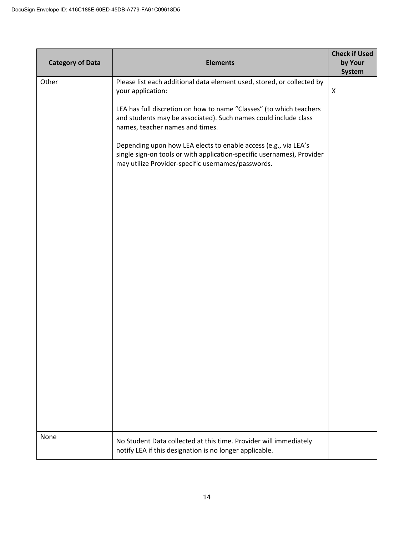| <b>Category of Data</b> | <b>Elements</b>                                                                                                                                                                                 | <b>Check if Used</b><br>by Your<br>System |
|-------------------------|-------------------------------------------------------------------------------------------------------------------------------------------------------------------------------------------------|-------------------------------------------|
| Other                   | Please list each additional data element used, stored, or collected by<br>your application:                                                                                                     | X                                         |
|                         | LEA has full discretion on how to name "Classes" (to which teachers<br>and students may be associated). Such names could include class<br>names, teacher names and times.                       |                                           |
|                         | Depending upon how LEA elects to enable access (e.g., via LEA's<br>single sign-on tools or with application-specific usernames), Provider<br>may utilize Provider-specific usernames/passwords. |                                           |
|                         |                                                                                                                                                                                                 |                                           |
|                         |                                                                                                                                                                                                 |                                           |
|                         |                                                                                                                                                                                                 |                                           |
|                         |                                                                                                                                                                                                 |                                           |
|                         |                                                                                                                                                                                                 |                                           |
|                         |                                                                                                                                                                                                 |                                           |
|                         |                                                                                                                                                                                                 |                                           |
| None                    | No Student Data collected at this time. Provider will immediately<br>notify LEA if this designation is no longer applicable.                                                                    |                                           |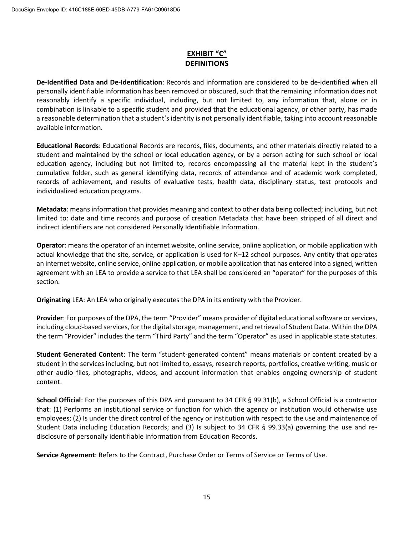#### **EXHIBIT "C" DEFINITIONS**

**De-Identified Data and De-Identification**: Records and information are considered to be de-identified when all personally identifiable information has been removed or obscured, such that the remaining information does not reasonably identify a specific individual, including, but not limited to, any information that, alone or in combination is linkable to a specific student and provided that the educational agency, or other party, has made a reasonable determination that a student's identity is not personally identifiable, taking into account reasonable available information.

**Educational Records**: Educational Records are records, files, documents, and other materials directly related to a student and maintained by the school or local education agency, or by a person acting for such school or local education agency, including but not limited to, records encompassing all the material kept in the student's cumulative folder, such as general identifying data, records of attendance and of academic work completed, records of achievement, and results of evaluative tests, health data, disciplinary status, test protocols and individualized education programs.

**Metadata**: means information that provides meaning and context to other data being collected; including, but not limited to: date and time records and purpose of creation Metadata that have been stripped of all direct and indirect identifiers are not considered Personally Identifiable Information.

**Operator**: means the operator of an internet website, online service, online application, or mobile application with actual knowledge that the site, service, or application is used for K–12 school purposes. Any entity that operates an internet website, online service, online application, or mobile application that has entered into a signed, written agreement with an LEA to provide a service to that LEA shall be considered an "operator" for the purposes of this section.

**Originating** LEA: An LEA who originally executes the DPA in its entirety with the Provider.

**Provider**: For purposes of the DPA, the term "Provider" means provider of digital educational software or services, including cloud-based services, for the digital storage, management, and retrieval of Student Data. Within the DPA the term "Provider" includes the term "Third Party" and the term "Operator" as used in applicable state statutes.

**Student Generated Content**: The term "student-generated content" means materials or content created by a student in the services including, but not limited to, essays, research reports, portfolios, creative writing, music or other audio files, photographs, videos, and account information that enables ongoing ownership of student content.

**School Official**: For the purposes of this DPA and pursuant to 34 CFR § 99.31(b), a School Official is a contractor that: (1) Performs an institutional service or function for which the agency or institution would otherwise use employees; (2) Is under the direct control of the agency or institution with respect to the use and maintenance of Student Data including Education Records; and (3) Is subject to 34 CFR § 99.33(a) governing the use and redisclosure of personally identifiable information from Education Records.

**Service Agreement**: Refers to the Contract, Purchase Order or Terms of Service or Terms of Use.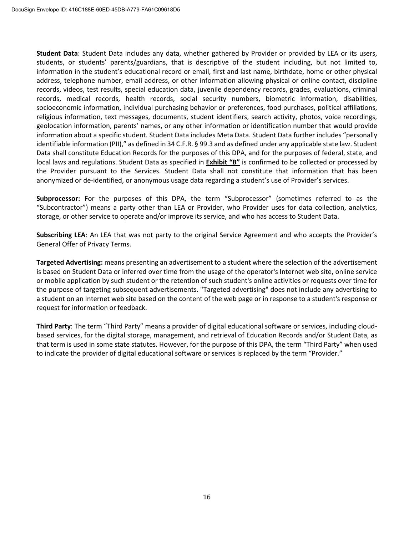**Student Data**: Student Data includes any data, whether gathered by Provider or provided by LEA or its users, students, or students' parents/guardians, that is descriptive of the student including, but not limited to, information in the student's educational record or email, first and last name, birthdate, home or other physical address, telephone number, email address, or other information allowing physical or online contact, discipline records, videos, test results, special education data, juvenile dependency records, grades, evaluations, criminal records, medical records, health records, social security numbers, biometric information, disabilities, socioeconomic information, individual purchasing behavior or preferences, food purchases, political affiliations, religious information, text messages, documents, student identifiers, search activity, photos, voice recordings, geolocation information, parents' names, or any other information or identification number that would provide information about a specific student. Student Data includes Meta Data. Student Data further includes "personally identifiable information (PII)," as defined in 34 C.F.R. § 99.3 and as defined under any applicable state law. Student Data shall constitute Education Records for the purposes of this DPA, and for the purposes of federal, state, and local laws and regulations. Student Data as specified in **Exhibit "B"** is confirmed to be collected or processed by the Provider pursuant to the Services. Student Data shall not constitute that information that has been anonymized or de-identified, or anonymous usage data regarding a student's use of Provider's services.

**Subprocessor:** For the purposes of this DPA, the term "Subprocessor" (sometimes referred to as the "Subcontractor") means a party other than LEA or Provider, who Provider uses for data collection, analytics, storage, or other service to operate and/or improve its service, and who has access to Student Data.

**Subscribing LEA**: An LEA that was not party to the original Service Agreement and who accepts the Provider's General Offer of Privacy Terms.

**Targeted Advertising:** means presenting an advertisement to a student where the selection of the advertisement is based on Student Data or inferred over time from the usage of the operator's Internet web site, online service or mobile application by such student or the retention of such student's online activities or requests over time for the purpose of targeting subsequent advertisements. "Targeted advertising" does not include any advertising to a student on an Internet web site based on the content of the web page or in response to a student's response or request for information or feedback.

**Third Party**: The term "Third Party" means a provider of digital educational software or services, including cloudbased services, for the digital storage, management, and retrieval of Education Records and/or Student Data, as that term is used in some state statutes. However, for the purpose of this DPA, the term "Third Party" when used to indicate the provider of digital educational software or services is replaced by the term "Provider."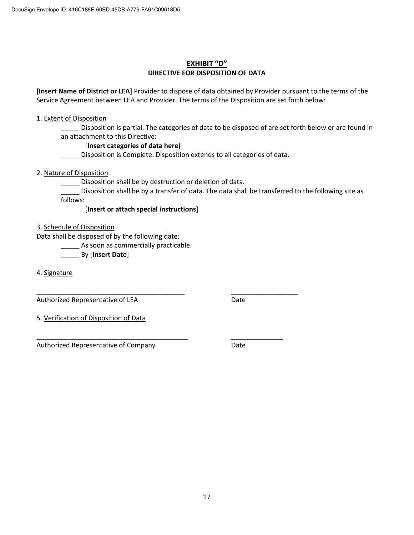#### **EXHIBIT "D" DIRECTIVE FOR DISPOSITION OF DATA**

[**Insert Name of District or LEA**] Provider to dispose of data obtained by Provider pursuant to the terms of the Service Agreement between LEA and Provider. The terms of the Disposition are set forth below:

#### 1. Extent of Disposition

Disposition is partial. The categories of data to be disposed of are set forth below or are found in an attachment to this Directive:

#### [**Insert categories of data here**]

\_\_\_\_\_ Disposition is Complete. Disposition extends to all categories of data.

2. Nature of Disposition

\_\_\_\_\_ Disposition shall be by destruction or deletion of data.

\_\_\_\_\_\_\_\_\_\_\_\_\_\_\_\_\_\_\_\_\_\_\_\_\_\_\_\_\_\_\_\_\_\_\_\_\_\_\_\_ \_\_\_\_\_\_\_\_\_\_\_\_\_\_\_\_\_\_

\_\_\_\_\_\_\_\_\_\_\_\_\_\_\_\_\_\_\_\_\_\_\_\_\_\_\_\_\_\_\_\_\_\_\_\_\_\_\_\_\_ \_\_\_\_\_\_\_\_\_\_\_\_\_\_

\_\_\_\_\_ Disposition shall be by a transfer of data. The data shall be transferred to the following site as follows:

[**Insert or attach special instructions**]

3. Schedule of Disposition

Data shall be disposed of by the following date:

\_\_\_\_\_ As soon as commercially practicable.

\_\_\_\_\_ By [**Insert Date**]

4. Signature

Authorized Representative of LEA Date

5. Verification of Disposition of Data

Authorized Representative of Company Theorem 2012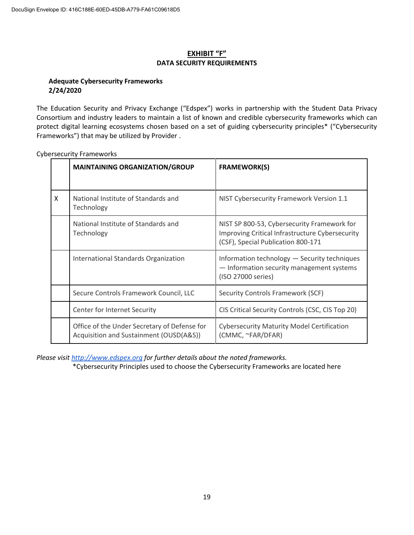#### **EXHIBIT "F" DATA SECURITY REQUIREMENTS**

#### **Adequate Cybersecurity Frameworks 2/24/2020**

The Education Security and Privacy Exchange ("Edspex") works in partnership with the Student Data Privacy Consortium and industry leaders to maintain a list of known and credible cybersecurity frameworks which can protect digital learning ecosystems chosen based on a set of guiding cybersecurity principles\* ("Cybersecurity Frameworks") that may be utilized by Provider .

|   | <b>MAINTAINING ORGANIZATION/GROUP</b>                                                   | <b>FRAMEWORK(S)</b>                                                                                                                  |
|---|-----------------------------------------------------------------------------------------|--------------------------------------------------------------------------------------------------------------------------------------|
| X | National Institute of Standards and<br>Technology                                       | NIST Cybersecurity Framework Version 1.1                                                                                             |
|   | National Institute of Standards and<br>Technology                                       | NIST SP 800-53, Cybersecurity Framework for<br>Improving Critical Infrastructure Cybersecurity<br>(CSF), Special Publication 800-171 |
|   | International Standards Organization                                                    | Information technology - Security techniques<br>- Information security management systems<br>(ISO 27000 series)                      |
|   | Secure Controls Framework Council, LLC                                                  | Security Controls Framework (SCF)                                                                                                    |
|   | Center for Internet Security                                                            | CIS Critical Security Controls (CSC, CIS Top 20)                                                                                     |
|   | Office of the Under Secretary of Defense for<br>Acquisition and Sustainment (OUSD(A&S)) | <b>Cybersecurity Maturity Model Certification</b><br>(CMMC, ~FAR/DFAR)                                                               |

Cybersecurity Frameworks

*Please visit http://www.edspex.org for further details about the noted frameworks.*

\*Cybersecurity Principles used to choose the Cybersecurity Frameworks are located here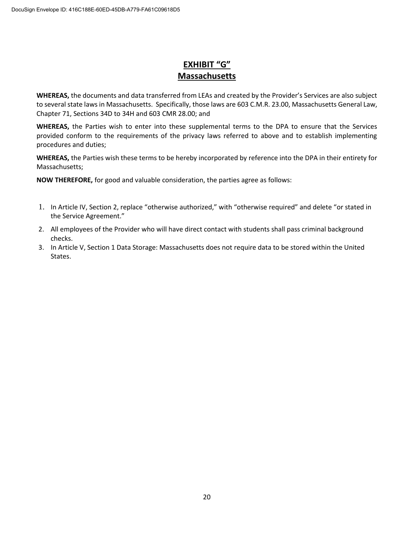## **EXHIBIT "G" Massachusetts**

**WHEREAS,** the documents and data transferred from LEAs and created by the Provider's Services are also subject to several state laws in Massachusetts. Specifically, those laws are 603 C.M.R. 23.00, Massachusetts General Law, Chapter 71, Sections 34D to 34H and 603 CMR 28.00; and

**WHEREAS,** the Parties wish to enter into these supplemental terms to the DPA to ensure that the Services provided conform to the requirements of the privacy laws referred to above and to establish implementing procedures and duties;

**WHEREAS,** the Parties wish these terms to be hereby incorporated by reference into the DPA in their entirety for Massachusetts;

- 1. In Article IV, Section 2, replace "otherwise authorized," with "otherwise required" and delete "or stated in the Service Agreement."
- 2. All employees of the Provider who will have direct contact with students shall pass criminal background checks.
- 3. In Article V, Section 1 Data Storage: Massachusetts does not require data to be stored within the United States.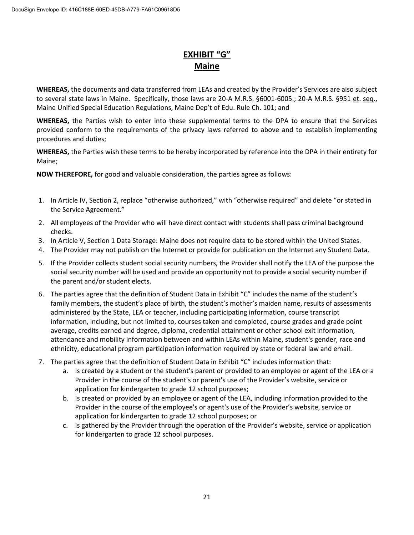## **EXHIBIT "G" Maine**

**WHEREAS,** the documents and data transferred from LEAs and created by the Provider's Services are also subject to several state laws in Maine. Specifically, those laws are 20-A M.R.S. §6001-6005.; 20-A M.R.S. §951 et. seq., Maine Unified Special Education Regulations, Maine Dep't of Edu. Rule Ch. 101; and

**WHEREAS,** the Parties wish to enter into these supplemental terms to the DPA to ensure that the Services provided conform to the requirements of the privacy laws referred to above and to establish implementing procedures and duties;

**WHEREAS,** the Parties wish these terms to be hereby incorporated by reference into the DPA in their entirety for Maine;

- 1. In Article IV, Section 2, replace "otherwise authorized," with "otherwise required" and delete "or stated in the Service Agreement."
- 2. All employees of the Provider who will have direct contact with students shall pass criminal background checks.
- 3. In Article V, Section 1 Data Storage: Maine does not require data to be stored within the United States.
- 4. The Provider may not publish on the Internet or provide for publication on the Internet any Student Data.
- 5. If the Provider collects student social security numbers, the Provider shall notify the LEA of the purpose the social security number will be used and provide an opportunity not to provide a social security number if the parent and/or student elects.
- 6. The parties agree that the definition of Student Data in Exhibit "C" includes the name of the student's family members, the student's place of birth, the student's mother's maiden name, results of assessments administered by the State, LEA or teacher, including participating information, course transcript information, including, but not limited to, courses taken and completed, course grades and grade point average, credits earned and degree, diploma, credential attainment or other school exit information, attendance and mobility information between and within LEAs within Maine, student's gender, race and ethnicity, educational program participation information required by state or federal law and email.
- 7. The parties agree that the definition of Student Data in Exhibit "C" includes information that:
	- a. Is created by a student or the student's parent or provided to an employee or agent of the LEA or a Provider in the course of the student's or parent's use of the Provider's website, service or application for kindergarten to grade 12 school purposes;
	- b. Is created or provided by an employee or agent of the LEA, including information provided to the Provider in the course of the employee's or agent's use of the Provider's website, service or application for kindergarten to grade 12 school purposes; or
	- c. Is gathered by the Provider through the operation of the Provider's website, service or application for kindergarten to grade 12 school purposes.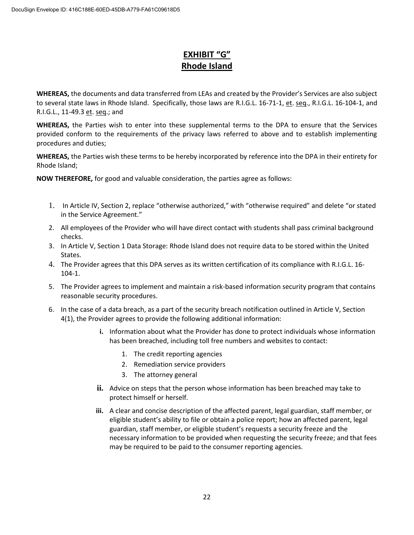## **EXHIBIT "G" Rhode Island**

**WHEREAS,** the documents and data transferred from LEAs and created by the Provider's Services are also subject to several state laws in Rhode Island. Specifically, those laws are R.I.G.L. 16-71-1, et. seq., R.I.G.L. 16-104-1, and R.I.G.L., 11-49.3 et. seq.; and

**WHEREAS,** the Parties wish to enter into these supplemental terms to the DPA to ensure that the Services provided conform to the requirements of the privacy laws referred to above and to establish implementing procedures and duties;

**WHEREAS,** the Parties wish these terms to be hereby incorporated by reference into the DPA in their entirety for Rhode Island;

- 1. In Article IV, Section 2, replace "otherwise authorized," with "otherwise required" and delete "or stated in the Service Agreement."
- 2. All employees of the Provider who will have direct contact with students shall pass criminal background checks.
- 3. In Article V, Section 1 Data Storage: Rhode Island does not require data to be stored within the United States.
- 4. The Provider agrees that this DPA serves as its written certification of its compliance with R.I.G.L. 16- 104-1.
- 5. The Provider agrees to implement and maintain a risk-based information security program that contains reasonable security procedures.
- 6. In the case of a data breach, as a part of the security breach notification outlined in Article V, Section 4(1), the Provider agrees to provide the following additional information:
	- **i.** Information about what the Provider has done to protect individuals whose information has been breached, including toll free numbers and websites to contact:
		- 1. The credit reporting agencies
		- 2. Remediation service providers
		- 3. The attorney general
	- **ii.** Advice on steps that the person whose information has been breached may take to protect himself or herself.
	- **iii.** A clear and concise description of the affected parent, legal guardian, staff member, or eligible student's ability to file or obtain a police report; how an affected parent, legal guardian, staff member, or eligible student's requests a security freeze and the necessary information to be provided when requesting the security freeze; and that fees may be required to be paid to the consumer reporting agencies.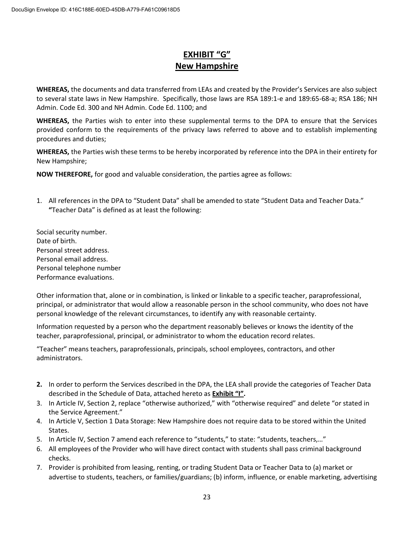## **EXHIBIT "G" New Hampshire**

**WHEREAS,** the documents and data transferred from LEAs and created by the Provider's Services are also subject to several state laws in New Hampshire. Specifically, those laws are RSA 189:1-e and 189:65-68-a; RSA 186; NH Admin. Code Ed. 300 and NH Admin. Code Ed. 1100; and

**WHEREAS,** the Parties wish to enter into these supplemental terms to the DPA to ensure that the Services provided conform to the requirements of the privacy laws referred to above and to establish implementing procedures and duties;

**WHEREAS,** the Parties wish these terms to be hereby incorporated by reference into the DPA in their entirety for New Hampshire;

**NOW THEREFORE,** for good and valuable consideration, the parties agree as follows:

- 1. All references in the DPA to "Student Data" shall be amended to state "Student Data and Teacher Data." **"**Teacher Data" is defined as at least the following:
- Social security number. Date of birth. Personal street address. Personal email address. Personal telephone number Performance evaluations.

Other information that, alone or in combination, is linked or linkable to a specific teacher, paraprofessional, principal, or administrator that would allow a reasonable person in the school community, who does not have personal knowledge of the relevant circumstances, to identify any with reasonable certainty.

Information requested by a person who the department reasonably believes or knows the identity of the teacher, paraprofessional, principal, or administrator to whom the education record relates.

"Teacher" means teachers, paraprofessionals, principals, school employees, contractors, and other administrators.

- **2.** In order to perform the Services described in the DPA, the LEA shall provide the categories of Teacher Data described in the Schedule of Data, attached hereto as **Exhibit "I".**
- 3. In Article IV, Section 2, replace "otherwise authorized," with "otherwise required" and delete "or stated in the Service Agreement."
- 4. In Article V, Section 1 Data Storage: New Hampshire does not require data to be stored within the United States.
- 5. In Article IV, Section 7 amend each reference to "students," to state: "students, teachers,…"
- 6. All employees of the Provider who will have direct contact with students shall pass criminal background checks.
- 7. Provider is prohibited from leasing, renting, or trading Student Data or Teacher Data to (a) market or advertise to students, teachers, or families/guardians; (b) inform, influence, or enable marketing, advertising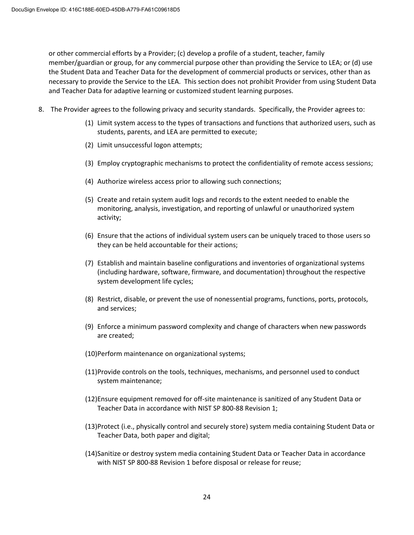or other commercial efforts by a Provider; (c) develop a profile of a student, teacher, family member/guardian or group, for any commercial purpose other than providing the Service to LEA; or (d) use the Student Data and Teacher Data for the development of commercial products or services, other than as necessary to provide the Service to the LEA. This section does not prohibit Provider from using Student Data and Teacher Data for adaptive learning or customized student learning purposes.

- 8. The Provider agrees to the following privacy and security standards. Specifically, the Provider agrees to:
	- (1) Limit system access to the types of transactions and functions that authorized users, such as students, parents, and LEA are permitted to execute;
	- (2) Limit unsuccessful logon attempts;
	- (3) Employ cryptographic mechanisms to protect the confidentiality of remote access sessions;
	- (4) Authorize wireless access prior to allowing such connections;
	- (5) Create and retain system audit logs and records to the extent needed to enable the monitoring, analysis, investigation, and reporting of unlawful or unauthorized system activity;
	- (6) Ensure that the actions of individual system users can be uniquely traced to those users so they can be held accountable for their actions;
	- (7) Establish and maintain baseline configurations and inventories of organizational systems (including hardware, software, firmware, and documentation) throughout the respective system development life cycles;
	- (8) Restrict, disable, or prevent the use of nonessential programs, functions, ports, protocols, and services;
	- (9) Enforce a minimum password complexity and change of characters when new passwords are created;
	- (10)Perform maintenance on organizational systems;
	- (11)Provide controls on the tools, techniques, mechanisms, and personnel used to conduct system maintenance;
	- (12)Ensure equipment removed for off-site maintenance is sanitized of any Student Data or Teacher Data in accordance with NIST SP 800-88 Revision 1;
	- (13)Protect (i.e., physically control and securely store) system media containing Student Data or Teacher Data, both paper and digital;
	- (14)Sanitize or destroy system media containing Student Data or Teacher Data in accordance with NIST SP 800-88 Revision 1 before disposal or release for reuse;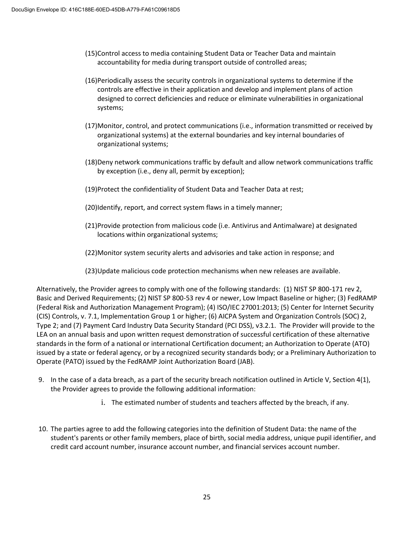- (15)Control access to media containing Student Data or Teacher Data and maintain accountability for media during transport outside of controlled areas;
- (16)Periodically assess the security controls in organizational systems to determine if the controls are effective in their application and develop and implement plans of action designed to correct deficiencies and reduce or eliminate vulnerabilities in organizational systems;
- (17)Monitor, control, and protect communications (i.e., information transmitted or received by organizational systems) at the external boundaries and key internal boundaries of organizational systems;
- (18)Deny network communications traffic by default and allow network communications traffic by exception (i.e., deny all, permit by exception);
- (19)Protect the confidentiality of Student Data and Teacher Data at rest;
- (20)Identify, report, and correct system flaws in a timely manner;
- (21)Provide protection from malicious code (i.e. Antivirus and Antimalware) at designated locations within organizational systems;
- (22)Monitor system security alerts and advisories and take action in response; and
- (23)Update malicious code protection mechanisms when new releases are available.

Alternatively, the Provider agrees to comply with one of the following standards: (1) NIST SP 800-171 rev 2, Basic and Derived Requirements; (2) NIST SP 800-53 rev 4 or newer, Low Impact Baseline or higher; (3) FedRAMP (Federal Risk and Authorization Management Program); (4) ISO/IEC 27001:2013; (5) Center for Internet Security (CIS) Controls, v. 7.1, Implementation Group 1 or higher; (6) AICPA System and Organization Controls (SOC) 2, Type 2; and (7) Payment Card Industry Data Security Standard (PCI DSS), v3.2.1. The Provider will provide to the LEA on an annual basis and upon written request demonstration of successful certification of these alternative standards in the form of a national or international Certification document; an Authorization to Operate (ATO) issued by a state or federal agency, or by a recognized security standards body; or a Preliminary Authorization to Operate (PATO) issued by the FedRAMP Joint Authorization Board (JAB).

- 9. In the case of a data breach, as a part of the security breach notification outlined in Article V, Section 4(1), the Provider agrees to provide the following additional information:
	- i. The estimated number of students and teachers affected by the breach, if any.
- 10. The parties agree to add the following categories into the definition of Student Data: the name of the student's parents or other family members, place of birth, social media address, unique pupil identifier, and credit card account number, insurance account number, and financial services account number.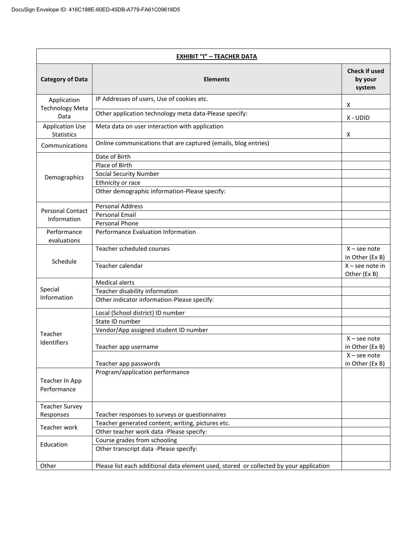| <b>EXHIBIT "I" - TEACHER DATA</b>           |                                                                                        |                                           |
|---------------------------------------------|----------------------------------------------------------------------------------------|-------------------------------------------|
| <b>Category of Data</b>                     | <b>Elements</b>                                                                        | <b>Check if used</b><br>by your<br>system |
| Application                                 | IP Addresses of users, Use of cookies etc.                                             | X                                         |
| <b>Technology Meta</b><br>Data              | Other application technology meta data-Please specify:                                 | X - UDID                                  |
| <b>Application Use</b><br><b>Statistics</b> | Meta data on user interaction with application                                         | х                                         |
| Communications                              | Online communications that are captured (emails, blog entries)                         |                                           |
| Demographics                                | Date of Birth<br>Place of Birth<br><b>Social Security Number</b><br>Ethnicity or race  |                                           |
|                                             | Other demographic information-Please specify:                                          |                                           |
| <b>Personal Contact</b>                     | <b>Personal Address</b><br><b>Personal Email</b>                                       |                                           |
| Information                                 | Personal Phone                                                                         |                                           |
| Performance<br>evaluations                  | Performance Evaluation Information                                                     |                                           |
|                                             | Teacher scheduled courses                                                              | $X$ – see note<br>in Other (Ex B)         |
| Schedule                                    | Teacher calendar                                                                       | $X$ – see note in<br>Other (Ex B)         |
|                                             | <b>Medical alerts</b>                                                                  |                                           |
| Special<br>Information                      | Teacher disability information                                                         |                                           |
|                                             | Other indicator information-Please specify:                                            |                                           |
|                                             | Local (School district) ID number                                                      |                                           |
|                                             | State ID number                                                                        |                                           |
| Teacher                                     | Vendor/App assigned student ID number                                                  | $X$ – see note                            |
| Identifiers                                 | Teacher app username                                                                   | in Other (Ex B)                           |
|                                             | Teacher app passwords                                                                  | $X$ – see note<br>in Other (Ex B)         |
| Teacher In App<br>Performance               | Program/application performance                                                        |                                           |
| <b>Teacher Survey</b>                       |                                                                                        |                                           |
| Responses                                   | Teacher responses to surveys or questionnaires                                         |                                           |
| Teacher work                                | Teacher generated content; writing, pictures etc.                                      |                                           |
|                                             | Other teacher work data -Please specify:                                               |                                           |
| Education                                   | Course grades from schooling                                                           |                                           |
|                                             | Other transcript data -Please specify:                                                 |                                           |
| Other                                       | Please list each additional data element used, stored or collected by your application |                                           |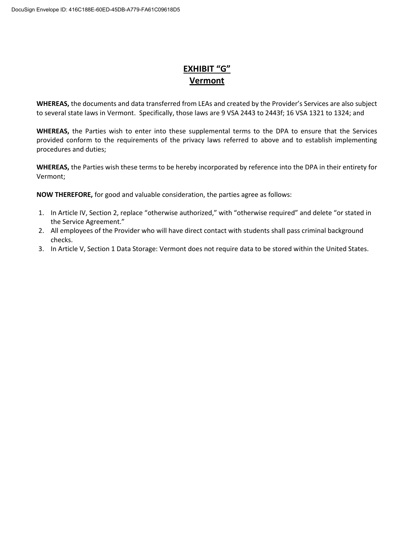## **EXHIBIT "G" Vermont**

**WHEREAS,** the documents and data transferred from LEAs and created by the Provider's Services are also subject to several state laws in Vermont. Specifically, those laws are 9 VSA 2443 to 2443f; 16 VSA 1321 to 1324; and

**WHEREAS,** the Parties wish to enter into these supplemental terms to the DPA to ensure that the Services provided conform to the requirements of the privacy laws referred to above and to establish implementing procedures and duties;

**WHEREAS,** the Parties wish these terms to be hereby incorporated by reference into the DPA in their entirety for Vermont;

- 1. In Article IV, Section 2, replace "otherwise authorized," with "otherwise required" and delete "or stated in the Service Agreement."
- 2. All employees of the Provider who will have direct contact with students shall pass criminal background checks.
- 3. In Article V, Section 1 Data Storage: Vermont does not require data to be stored within the United States.